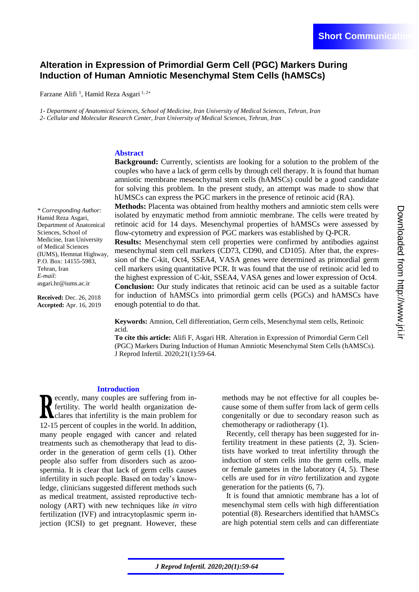# **Alteration in Expression of Primordial Germ Cell (PGC) Markers During Induction of Human Amniotic Mesenchymal Stem Cells (hAMSCs)**

Farzane Alifi<sup>1</sup>, Hamid Reza Asgari<sup>1, 2\*</sup>

*1- Department of Anatomical Sciences, School of Medicine, Iran University of Medical Sciences, Tehran, Iran 2- Cellular and Molecular Research Center, Iran University of Medical Sciences, Tehran, Iran* 

## **Abstract**

*\* Corresponding Author:*  Hamid Reza Asgari, Department of Anatomical Sciences, School of Medicine, Iran University of Medical Sciences (IUMS), Hemmat Highway, P.O. Box: 14155-5983, Tehran, Iran *E-mail:*  asgari.hr@iums.ac.ir

**Received:** Dec. 26, 2018 **Accepted:** Apr. 16, 2019 **Background:** Currently, scientists are looking for a solution to the problem of the couples who have a lack of germ cells by through cell therapy. It is found that human amniotic membrane mesenchymal stem cells (hAMSCs) could be a good candidate for solving this problem. In the present study, an attempt was made to show that hUMSCs can express the PGC markers in the presence of retinoic acid (RA).

**Methods:** Placenta was obtained from healthy mothers and amniotic stem cells were isolated by enzymatic method from amniotic membrane. The cells were treated by retinoic acid for 14 days. Mesenchymal properties of hAMSCs were assessed by flow-cytometry and expression of PGC markers was established by Q-PCR.

**Results:** Mesenchymal stem cell properties were confirmed by antibodies against mesenchymal stem cell markers (CD73, CD90, and CD105). After that, the expression of the C-kit, Oct4, SSEA4, VASA genes were determined as primordial germ cell markers using quantitative PCR. It was found that the use of retinoic acid led to the highest expression of C-kit, SSEA4, VASA genes and lower expression of Oct4. **Conclusion:** Our study indicates that retinoic acid can be used as a suitable factor for induction of hAMSCs into primordial germ cells (PGCs) and hAMSCs have enough potential to do that.

**Keywords:** Amnion, Cell differentiation, Germ cells, Mesenchymal stem cells, Retinoic acid.

**To cite this article:** Alifi F, Asgari HR. Alteration in Expression of Primordial Germ Cell (PGC) Markers During Induction of Human Amniotic Mesenchymal Stem Cells (hAMSCs). J Reprod Infertil. 2020;21(1):59-64.

### **Introduction**

ecently, many couples are suffering from infertility. The world health organization declares that infertility is the main problem for 12-15 percent of couples in the world. In addition, many people engaged with cancer and related treatments such as chemotherapy that lead to disorder in the generation of germ cells (1). Other people also suffer from disorders such as azoospermia. It is clear that lack of germ cells causes infertility in such people. Based on today's knowledge, clinicians suggested different methods such as medical treatment, assisted reproductive technology (ART) with new techniques like *in vitro* fertilization (IVF) and intracytoplasmic sperm injection (ICSI) to get pregnant. However, these

methods may be not effective for all couples because some of them suffer from lack of germ cells congenitally or due to secondary reason such as chemotherapy or radiotherapy [\(1\)](#page-4-0).

Recently, cell therapy has been suggested for infertility treatment in these patients [\(2,](#page-4-1) [3\)](#page-4-2). Scientists have worked to treat infertility through the induction of stem cells into the germ cells, male or female gametes in the laboratory [\(4,](#page-4-3) [5\)](#page-4-4). These cells are used for *in vitro* fertilization and zygote generation for the patients [\(6,](#page-4-5) [7\)](#page-4-6).

It is found that amniotic membrane has a lot of mesenchymal stem cells with high differentiation potential [\(8\)](#page-4-7). Researchers identified that hAMSCs are high potential stem cells and can differentiate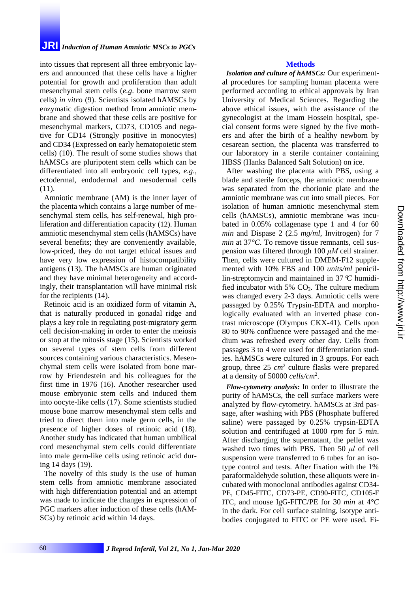# **JRI** *Induction of Human Amniotic MSCs to PGCs*

into tissues that represent all three embryonic layers and announced that these cells have a higher potential for growth and proliferation than adult mesenchymal stem cells (*e.g*. bone marrow stem cells) *in vitro* [\(9\)](#page-4-8). Scientists isolated hAMSCs by enzymatic digestion method from amniotic membrane and showed that these cells are positive for mesenchymal markers, CD73, CD105 and negative for CD14 (Strongly positive in monocytes) and CD34 (Expressed on early hematopoietic stem cells) [\(10\)](#page-4-9). The result of some studies shows that hAMSCs are pluripotent stem cells which can be differentiated into all embryonic cell types, *e.g*., ectodermal, endodermal and mesodermal cells [\(11\)](#page-4-10).

Amniotic membrane (AM) is the inner layer of the placenta which contains a large number of mesenchymal stem cells, has self-renewal, high proliferation and differentiation capacity [\(12\)](#page-4-11). Human amniotic mesenchymal stem cells (hAMSCs) have several benefits; they are conveniently available, low-priced, they do not target ethical issues and have very low expression of histocompatibility antigens [\(13\)](#page-4-12). The hAMSCs are human originated and they have minimal heterogeneity and accordingly, their transplantation will have minimal risk for the recipients [\(14\)](#page-4-13).

Retinoic acid is an oxidized form of vitamin A, that is naturally produced in gonadal ridge and plays a key role in regulating post-migratory germ cell decision-making in order to enter the meiosis or stop at the mitosis stage [\(15\)](#page-4-14). Scientists worked on several types of stem cells from different sources containing various characteristics. Mesenchymal stem cells were isolated from bone marrow by Friendestein and his colleagues for the first time in 1976 [\(16\)](#page-5-0). Another researcher used mouse embryonic stem cells and induced them into oocyte-like cells [\(17\)](#page-5-1). Some scientists studied mouse bone marrow mesenchymal stem cells and tried to direct them into male germ cells, in the presence of higher doses of retinoic acid [\(18\)](#page-5-2). Another study has indicated that human umbilical cord mesenchymal stem cells could differentiate into male germ-like cells using retinoic acid during 14 days [\(19\)](#page-5-3).

The novelty of this study is the use of human stem cells from amniotic membrane associated with high differentiation potential and an attempt was made to indicate the changes in expression of PGC markers after induction of these cells (hAM-SCs) by retinoic acid within 14 days.

# **Methods**

*Isolation and culture of hAMSCs:* Our experimental procedures for sampling human placenta were performed according to ethical approvals by Iran University of Medical Sciences. Regarding the above ethical issues, with the assistance of the gynecologist at the Imam Hossein hospital, special consent forms were signed by the five mothers and after the birth of a healthy newborn by cesarean section, the placenta was transferred to our laboratory in a sterile container containing HBSS (Hanks Balanced Salt Solution) on ice.

After washing the placenta with PBS, using a blade and sterile forceps, the amniotic membrane was separated from the chorionic plate and the amniotic membrane was cut into small pieces. For isolation of human amniotic mesenchymal stem cells (hAMSCs), amniotic membrane was incubated in 0.05% collagenase type 1 and 4 for 60 *min* and Dispase 2 (2.5 *mg/ml*, Invitrogen) for 7 *min* at 37*°C*. To remove tissue remnants, cell suspension was filtered through 100 *μM* cell strainer. Then, cells were cultured in DMEM-F12 supplemented with 10% FBS and 100 *units/ml* penicillin-streptomycin and maintained in 37*C* humidified incubator with  $5\%$  CO<sub>2</sub>. The culture medium was changed every 2-3 days. Amniotic cells were passaged by 0.25% Trypsin-EDTA and morphologically evaluated with an inverted phase contrast microscope (Olympus CKX-41). Cells upon 80 to 90% confluence were passaged and the medium was refreshed every other day. Cells from passages 3 to 4 were used for differentiation studies. hAMSCs were cultured in 3 groups. For each group, three 25 *cm*<sup>2</sup> culture flasks were prepared at a density of 50000 *cells/cm*<sup>2</sup> .

*Flow-cytometry analysis:* In order to illustrate the purity of hAMSCs, the cell surface markers were analyzed by flow-cytometry. hAMSCs at 3rd passage, after washing with PBS (Phosphate buffered saline) were passaged by 0.25% trypsin-EDTA solution and centrifuged at 1000 *rpm* for 5 *min*. After discharging the supernatant, the pellet was washed two times with PBS. Then 50 *μl* of cell suspension were transferred to 6 tubes for an isotype control and tests. After fixation with the 1% paraformaldehyde solution, these aliquots were incubated with monoclonal antibodies against CD34- PE, CD45-FITC, CD73-PE, CD90-FITC, CD105-F ITC, and mouse IgG-FITC/PE for 30 *min* at 4*°C* in the dark. For cell surface staining, isotype antibodies conjugated to FITC or PE were used. Fi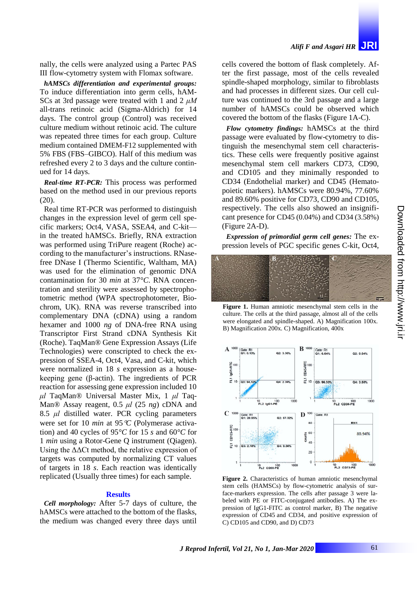nally, the cells were analyzed using a Partec PAS III flow-cytometry system with Flomax software.

*hAMSCs differentiation and experimental groups:*  To induce differentiation into germ cells, hAM-SCs at 3rd passage were treated with 1 and 2 *μM* all-trans retinoic acid (Sigma-Aldrich) for 14 days. The control group (Control) was received culture medium without retinoic acid. The culture was repeated three times for each group. Culture medium contained DMEM-F12 supplemented with 5% FBS (FBS–GIBCO). Half of this medium was refreshed every 2 to 3 days and the culture continued for 14 days.

*Real-time RT-PCR:* This process was performed based on the method used in our previous reports [\(20\)](#page-5-4).

Real time RT-PCR was performed to distinguish changes in the expression level of germ cell specific markers; Oct4, VASA, SSEA4, and C-kit in the treated hAMSCs. Briefly, RNA extraction was performed using TriPure reagent (Roche) according to the manufacturer's instructions. RNasefree DNase I (Thermo Scientific, Waltham, MA) was used for the elimination of genomic DNA contamination for 30 *min* at 37*°C*. RNA concentration and sterility were assessed by spectrophotometric method (WPA spectrophotometer, Biochrom, UK). RNA was reverse transcribed into complementary DNA (cDNA) using a random hexamer and 1000 *ng* of DNA-free RNA using Transcriptor First Strand cDNA Synthesis Kit (Roche). TaqMan® Gene Expression Assays (Life Technologies) were conscripted to check the expression of SSEA-4, Oct4, Vasa, and C-kit, which were normalized in 18 *s* expression as a housekeeping gene (β-actin). The ingredients of PCR reaction for assessing gene expression included 10 *μl* TaqMan® Universal Master Mix, 1 *μl* Taq-Man® Assay reagent, 0.5 *μl* (25 *ng*) cDNA and 8.5 *μl* distilled water. PCR cycling parameters were set for 10 *min* at 95*C* (Polymerase activation) and 40 cycles of 95*°C* for 15 *s* and 60*°C* for 1 *min* using a Rotor-Gene Q instrument (Qiagen). Using the  $\Delta\Delta$ Ct method, the relative expression of targets was computed by normalizing CT values of targets in 18 *s*. Each reaction was identically replicated (Usually three times) for each sample.

#### **Results**

*Cell morphology:* After 5-7 days of culture, the hAMSCs were attached to the bottom of the flasks, the medium was changed every three days until cells covered the bottom of flask completely. After the first passage, most of the cells revealed spindle-shaped morphology, similar to fibroblasts and had processes in different sizes. Our cell culture was continued to the 3rd passage and a large number of hAMSCs could be observed which covered the bottom of the flasks (Figure 1A-C).

*Flow cytometry findings:* hAMSCs at the third passage were evaluated by flow-cytometry to distinguish the mesenchymal stem cell characteristics. These cells were frequently positive against mesenchymal stem cell markers CD73, CD90, and CD105 and they minimally responded to CD34 (Endothelial marker) and CD45 (Hematopoietic markers). hAMSCs were 80.94%, 77.60% and 89.60% positive for CD73, CD90 and CD105, respectively. The cells also showed an insignificant presence for CD45 (0.04%) and CD34 (3.58%) (Figure 2A-D).

*Expression of primordial germ cell genes:* The expression levels of PGC specific genes C-kit, Oct4,



**Figure 1.** Human amniotic mesenchymal stem cells in the culture. The cells at the third passage, almost all of the cells were elongated and spindle-shaped. A) Magnification 100x. B) Magnification 200x. C) Magnification, 400x



**Figure 2.** Characteristics of human amniotic mesenchymal stem cells (HAMSCs) by flow-cytometric analysis of surface-markers expression. The cells after passage 3 were labeled with PE or FITC-conjugated antibodies. A) The expression of IgG1-FITC as control marker, B) The negative expression of CD45 and CD34, and positive expression of C) CD105 and CD90, and D) CD73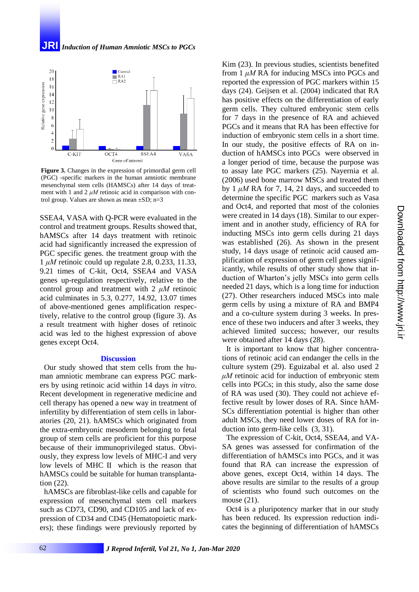**JRI** *Induction of Human Amniotic MSCs to PGCs*



**Figure 3.** Changes in the expression of primordial germ cell (PGC) -specific markers in the human amniotic membrane mesenchymal stem cells (HAMSCs) after 14 days of treatment with 1 and 2 *μM* retinoic acid in comparison with control group. Values are shown as mean  $\pm SD$ ; n=3

SSEA4, VASA with Q-PCR were evaluated in the control and treatment groups. Results showed that, hAMSCs after 14 days treatment with retinoic acid had significantly increased the expression of PGC specific genes. the treatment group with the 1 *μM* retinoic could up regulate 2.8, 0.233, 11.33, 9.21 times of C-kit, Oct4, SSEA4 and VASA genes up-regulation respectively, relative to the control group and treatment with 2 *μM* retinoic acid culminates in 5.3, 0.277, 14.92, 13.07 times of above-mentioned genes amplification respectively, relative to the control group (figure 3). As a result treatment with higher doses of retinoic acid was led to the highest expression of above genes except Oct4.

#### **Discussion**

Our study showed that stem cells from the human amniotic membrane can express PGC markers by using retinoic acid within 14 days *in vitro*. Recent development in regenerative medicine and cell therapy has opened a new way in treatment of infertility by differentiation of stem cells in laboratories [\(20,](#page-5-4) [21\)](#page-5-5). hAMSCs which originated from the extra-embryonic mesoderm belonging to fetal group of stem cells are proficient for this purpose because of their immunoprivileged status. Obviously, they express low levels of MHC-I and very low levels of MHC II which is the reason that hAMSCs could be suitable for human transplantation [\(22\)](#page-5-6).

hAMSCs are fibroblast-like cells and capable for expression of mesenchymal stem cell markers such as CD73, CD90, and CD105 and lack of expression of CD34 and CD45 (Hematopoietic markers); these findings were previously reported by

Kim [\(23\)](#page-5-7). In previous studies, scientists benefited from 1 *μM* RA for inducing MSCs into PGCs and reported the expression of PGC markers within 15 days [\(24](#page-5-8)). Geijsen et al. (2004) indicated that RA has positive effects on the differentiation of early germ cells. They cultured embryonic stem cells for 7 days in the presence of RA and achieved PGCs and it means that RA has been effective for induction of embryonic stem cells in a short time. In our study, the positive effects of RA on induction of hAMSCs into PGCs were observed in a longer period of time, because the purpose was to assay late PGC markers [\(25\)](#page-5-9). Nayernia et al. (2006) used bone marrow MSCs and treated them by 1  $\mu$ *M* RA for 7, 14, 21 days, and succeeded to determine the specific PGC markers such as Vasa and Oct4, and reported that most of the colonies were created in 14 days [\(18\)](#page-5-2). Similar to our experiment and in another study, efficiency of RA for inducting MSCs into germ cells during 21 days was established [\(26\)](#page-5-10). As shown in the present study, 14 days usage of retinoic acid caused amplification of expression of germ cell genes significantly, while results of other study show that induction of Wharton's jelly MSCs into germ cells needed 21 days, which is a long time for induction [\(27\)](#page-5-11). Other researchers induced MSCs into male germ cells by using a mixture of RA and BMP4 and a co-culture system during 3 weeks. In presence of these two inducers and after 3 weeks, they achieved limited success; however, our results were obtained after 14 days [\(28\)](#page-5-12).

It is important to know that higher concentrations of retinoic acid can endanger the cells in the culture system [\(29\)](#page-5-13). Eguizabal et al. also used 2 *μM* retinoic acid for induction of embryonic stem cells into PGCs; in this study, also the same dose of RA was used [\(30\)](#page-5-14). They could not achieve effective result by lower doses of RA. Since hAM-SCs differentiation potential is higher than other adult MSCs, they need lower doses of RA for induction into germ-like cells [\(3,](#page-4-2) [31\)](#page-5-15).

The expression of C-kit, Oct4, SSEA4, and VA-SA genes was assessed for confirmation of the differentiation of hAMSCs into PGCs, and it was found that RA can increase the expression of above genes, except Oct4, within 14 days. The above results are similar to the results of a group of scientists who found such outcomes on the mouse [\(21\)](#page-5-5).

Oct4 is a pluripotency marker that in our study has been reduced. Its expression reduction indicates the beginning of differentiation of hAMSCs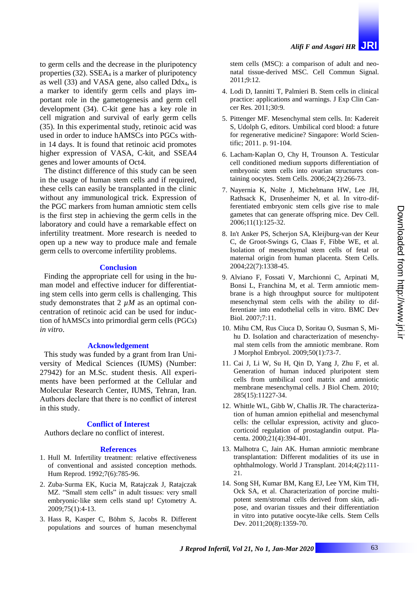to germ cells and the decrease in the pluripotency properties  $(32)$ . SSEA<sub>4</sub> is a marker of pluripotency as well  $(33)$  and VASA gene, also called Ddx<sub>4</sub>, is a marker to identify germ cells and plays important role in the gametogenesis and germ cell development [\(34\)](#page-5-18). C-kit gene has a key role in cell migration and survival of early germ cells [\(35\)](#page-5-19). In this experimental study, retinoic acid was used in order to induce hAMSCs into PGCs within 14 days. It is found that retinoic acid promotes higher expression of VASA, C-kit, and SSEA4 genes and lower amounts of Oct4.

The distinct difference of this study can be seen in the usage of human stem cells and if required, these cells can easily be transplanted in the clinic without any immunological trick. Expression of the PGC markers from human amniotic stem cells is the first step in achieving the germ cells in the laboratory and could have a remarkable effect on infertility treatment. More research is needed to open up a new way to produce male and female germ cells to overcome infertility problems.

# **Conclusion**

Finding the appropriate cell for using in the human model and effective inducer for differentiating stem cells into germ cells is challenging. This study demonstrates that 2  $\mu$ *M* as an optimal concentration of retinoic acid can be used for induction of hAMSCs into primordial germ cells (PGCs) *in vitro*.

## **Acknowledgement**

This study was funded by a grant from Iran University of Medical Sciences (IUMS) (Number: 27942) for an M.Sc. student thesis. All experiments have been performed at the Cellular and Molecular Research Center, IUMS, Tehran, Iran. Authors declare that there is no conflict of interest in this study.

### **Conflict of Interest**

Authors declare no conflict of interest.

### **References**

- <span id="page-4-0"></span>1. Hull M. Infertility treatment: relative effectiveness of conventional and assisted conception methods. Hum Reprod. 1992;7(6):785-96.
- <span id="page-4-1"></span>2. Zuba‐Surma EK, Kucia M, Ratajczak J, Ratajczak MZ. "Small stem cells" in adult tissues: very small embryonic‐like stem cells stand up! Cytometry A. 2009;75(1):4-13.
- <span id="page-4-2"></span>3. Hass R, Kasper C, Böhm S, Jacobs R. Different populations and sources of human mesenchymal

stem cells (MSC): a comparison of adult and neonatal tissue-derived MSC. Cell Commun Signal. 2011;9:12.

- <span id="page-4-3"></span>4. Lodi D, Iannitti T, Palmieri B. Stem cells in clinical practice: applications and warnings. J Exp Clin Cancer Res. 2011;30:9.
- <span id="page-4-4"></span>5. Pittenger MF. Mesenchymal stem cells. In: Kadereit S, Udolph G, editors. Umbilical cord blood: a future for regenerative medicine? Singapore: World Scientific; 2011. p. 91-104.
- <span id="page-4-5"></span>6. Lacham‐Kaplan O, Chy H, Trounson A. Testicular cell conditioned medium supports differentiation of embryonic stem cells into ovarian structures containing oocytes. Stem Cells. 2006;24(2):266-73.
- <span id="page-4-6"></span>7. Nayernia K, Nolte J, Michelmann HW, Lee JH, Rathsack K, Drusenheimer N, et al. In vitro-differentiated embryonic stem cells give rise to male gametes that can generate offspring mice. Dev Cell. 2006;11(1):125-32.
- <span id="page-4-7"></span>8. In't Anker PS, Scherjon SA, Kleijburg-van der Keur C, de Groot-Swings G, Claas F, Fibbe WE, et al. Isolation of mesenchymal stem cells of fetal or maternal origin from human placenta. Stem Cells. 2004;22(7):1338-45.
- <span id="page-4-8"></span>9. Alviano F, Fossati V, Marchionni C, Arpinati M, Bonsi L, Franchina M, et al. Term amniotic membrane is a high throughput source for multipotent mesenchymal stem cells with the ability to differentiate into endothelial cells in vitro. BMC Dev Biol. 2007;7:11.
- <span id="page-4-9"></span>10. Mihu CM, Rus Ciuca D, Soritau O, Susman S, Mihu D. Isolation and characterization of mesenchymal stem cells from the amniotic membrane. Rom J Morphol Embryol. 2009;50(1):73-7.
- <span id="page-4-10"></span>11. Cai J, Li W, Su H, Qin D, Yang J, Zhu F, et al. Generation of human induced pluripotent stem cells from umbilical cord matrix and amniotic membrane mesenchymal cells. J Biol Chem. 2010; 285(15):11227-34.
- <span id="page-4-11"></span>12. Whittle WL, Gibb W, Challis JR. The characterization of human amnion epithelial and mesenchymal cells: the cellular expression, activity and glucocorticoid regulation of prostaglandin output. Placenta. 2000;21(4):394-401.
- <span id="page-4-12"></span>13. Malhotra C, Jain AK. Human amniotic membrane transplantation: Different modalities of its use in ophthalmology. World J Transplant. 2014;4(2):111- 21.
- <span id="page-4-14"></span><span id="page-4-13"></span>14. Song SH, Kumar BM, Kang EJ, Lee YM, Kim TH, Ock SA, et al. Characterization of porcine multipotent stem/stromal cells derived from skin, adipose, and ovarian tissues and their differentiation in vitro into putative oocyte-like cells. Stem Cells Dev. 2011;20(8):1359-70.